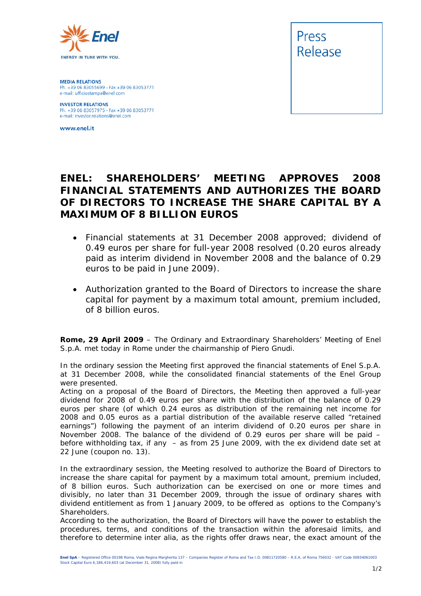

**MEDIA RELATIONS** Ph. +39 06 83055699 - Fax +39 06 83053771 e-mail: ufficiostampa@enel.com

**INVESTOR RELATIONS**<br>Ph. +39 06 83057975 - Fax +39 06 83053771 e-mail: investor.relations@enel.com

www.enel.it



## **ENEL: SHAREHOLDERS' MEETING APPROVES 2008 FINANCIAL STATEMENTS AND AUTHORIZES THE BOARD OF DIRECTORS TO INCREASE THE SHARE CAPITAL BY A MAXIMUM OF 8 BILLION EUROS**

- *Financial statements at 31 December 2008 approved; dividend of 0.49 euros per share for full-year 2008 resolved (0.20 euros already paid as interim dividend in November 2008 and the balance of 0.29 euros to be paid in June 2009).*
- *Authorization granted to the Board of Directors to increase the share capital for payment by a maximum total amount, premium included, of 8 billion euros.*

**Rome, 29 April 2009** – The Ordinary and Extraordinary Shareholders' Meeting of Enel S.p.A. met today in Rome under the chairmanship of Piero Gnudi.

In the ordinary session the Meeting first approved the financial statements of Enel S.p.A. at 31 December 2008, while the consolidated financial statements of the Enel Group were presented.

Acting on a proposal of the Board of Directors, the Meeting then approved a full-year dividend for 2008 of 0.49 euros per share with the distribution of the balance of 0.29 euros per share (of which 0.24 euros as distribution of the remaining net income for 2008 and 0.05 euros as a partial distribution of the available reserve called "retained earnings") following the payment of an interim dividend of 0.20 euros per share in November 2008. The balance of the dividend of 0.29 euros per share will be paid – before withholding tax, if any – as from 25 June 2009, with the ex dividend date set at 22 June (coupon no. 13).

In the extraordinary session, the Meeting resolved to authorize the Board of Directors to increase the share capital for payment by a maximum total amount, premium included, of 8 billion euros. Such authorization can be exercised on one or more times and divisibly, no later than 31 December 2009, through the issue of ordinary shares with dividend entitlement as from 1 January 2009, to be offered as options to the Company's Shareholders.

According to the authorization, the Board of Directors will have the power to establish the procedures, terms, and conditions of the transaction within the aforesaid limits, and therefore to determine *inter alia*, as the rights offer draws near, the exact amount of the